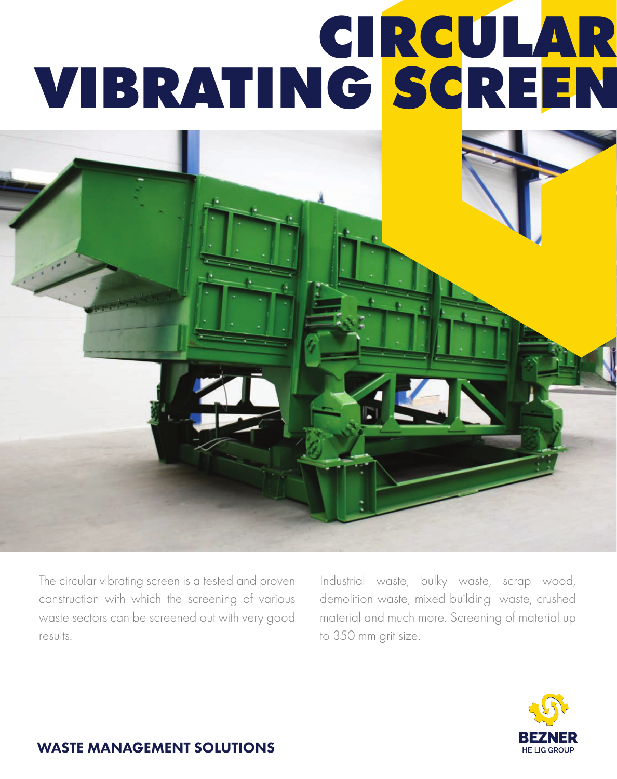# CIRCULAR VIBRATING SCREEN

The circular vibrating screen is a tested and proven construction with which the screening of various waste sectors can be screened out with very good results.

Industrial waste, bulky waste, scrap wood, demolition waste, mixed building waste, crushed material and much more. Screening of material up to 350 mm grit size.



#### WASTE MANAGEMENT SOLUTIONS